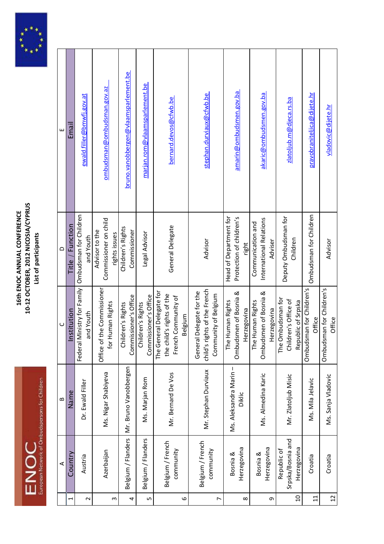



|                 | ⋖                                               | $\bf{m}$                         | $\cup$                                                                                      | $\Omega$                                                    | ш                                    |
|-----------------|-------------------------------------------------|----------------------------------|---------------------------------------------------------------------------------------------|-------------------------------------------------------------|--------------------------------------|
|                 | Country                                         | Name                             | <b>Istitution</b>                                                                           | Title / Function                                            | Email                                |
| 2               | Austria                                         | Dr. Ewald Filler                 | Federal Ministry for Family<br>and Youth                                                    | Ombudsman for Children<br>and Youth                         | ewald.filler@bmwfj.gov.at            |
| S               | Azerbaijan                                      | Ms. Nigar Shabiyeva              | the Commissioner<br>for Human Rights<br>Office of                                           | Commissioner on child<br>Advisor to the<br>rights issues    | ombudsman@ombudsman.gov.az           |
| 4               | Belgium / Flanders                              | Mr. Bruno Vanobbergen            | Commissioner's Office<br>Children's Rights                                                  | Children's Rights<br>Commissioner                           | bruno.vanobbergen@vlaamsparlement.be |
| LŊ              | Belgium / Flanders                              | Ms. Marjan Rom                   | Commissioner's Office<br>Children's Rights                                                  | Legal Advisor                                               | marjan.rom@vlaamsparlement.be        |
| $\circ$         | Belgium / French<br>community                   | Mr. Bernard De Vos               | eral Delegate for<br>the child's rights of the<br>French Community of<br>Belgium<br>The Gen | General Delegate                                            | bernard.devos@cfwb.be                |
| $\overline{ }$  | Belgium / French<br>community                   | Mr. Stephan Durviaux             | child's rights of the French<br>Delegate for the<br>Community of Belgium<br>General         | Advisor                                                     | stephan.durviaux@cfwb.be             |
| $\infty$        | Herzegovina<br>Bosnia &                         | Ms. Aleksandra Marin -<br>Diklic | Ombudsmen of Bosnia &<br>Human Rights<br>Herzegovina<br>The I                               | Head of Department for<br>Protection of children's<br>right | amarin@ombudsmen.gov.ba              |
| G               | Herzegovina<br>Bosnia &                         | Ms. Almedina Karic               | Ombudsmen of Bosnia &<br>Human Rights<br>Herzegovina<br>The I                               | International Relations<br>Communication and<br>Adviser     | akaric@ombudsmen.gov.ba              |
| $\Omega$        | Srpska/Bosnia and<br>Herzegovina<br>Republic of | Mr. Zlatoljub Misic              | The Ombudsman for<br>Children's Office of<br>Republic of Srpska                             | Deputy Ombudsman for<br>Children                            | zlatoljub.m@djeca.rs.ba              |
| $\Xi$           | Croatia                                         | Ms. Mila Jelavic                 | Ombudsman for Children's<br>Office                                                          | Ombudsman for Children                                      | pravobraniteljica@dijete.hr          |
| $\overline{12}$ | Croatia                                         | Ms. Sanja Vladovic               | Ombudsman for Children's<br>Office                                                          | Advisor                                                     | vladovic@dijete.hr                   |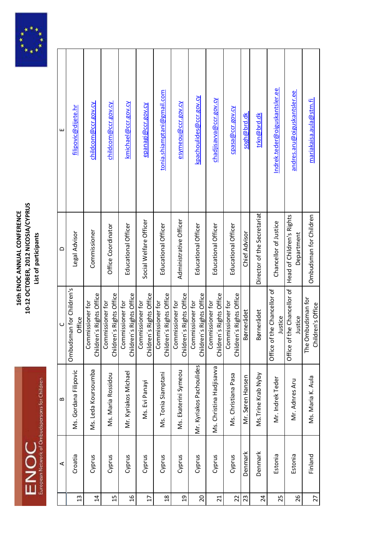



|                 | ⋖       | $\mathbf{a}$             | $\cup$                                       | ≏                                       | ш                               |
|-----------------|---------|--------------------------|----------------------------------------------|-----------------------------------------|---------------------------------|
| $\mathfrak{a}$  | Croatia | Ms. Gordana Filipovic    | Ombudsman for Children's<br>Office           | Legal Advisor                           | filipovic@dijete.hr             |
| $\overline{4}$  | Cyprus  | Ms. Leda Koursoumba      | Children's Rights Office<br>Commissioner for | Commissioner                            | childcom@ccr.gov.cy             |
| $\overline{1}$  | Cyprus  | Ms. Maria Rossidou       | Children's Rights Office<br>Commissioner for | Office Coordinator                      | <u>childcom@ccr.gov.cy</u>      |
| $\frac{9}{1}$   | Cyprus  | Mr. Kyriakos Michael     | Children's Rights Office<br>Commissioner for | Educational Officer                     | kmichael@ccr.gov.cy             |
| $\overline{1}$  | Cyprus  | Ms. Evi Panayi           | Children's Rights Office<br>Commissioner for | Social Welfare Officer                  | epanagi@ccr.gov.cy              |
| $\frac{8}{18}$  | Cyprus  | Ms. Tonia Siamptani      | Children's Rights Office<br>Commissioner for | Educational Officer                     | tonia.shiamptani@gmail.com      |
| $\overline{a}$  | Cyprus  | Ms. Ekaterini Symeou     | Children's Rights Office<br>Commissioner for | Administrative Officer                  | <mark>esymeou@ccr.gov.cy</mark> |
| $\overline{0}$  | Cyprus  | Mr. Kyriakos Pachoulides | Children's Rights Office<br>Commissioner for | Educational Officer                     | kpachoulides@ccr.gov.cy         |
| $\overline{21}$ | Cyprus  | Ms. Christina Hadjisavva | Children's Rights Office<br>Commissioner for | Educational Officer                     | chadjisavva@ccr.gov.cy          |
| 22              | Cyprus  | Ms. Christiana Pasa      | Children's Rights Office<br>Commissioner for | Educational Officer                     | cpasa@ccr.gov.cy                |
| 23              | Denmark | Mr. Søren Hansen         | Børnerådet                                   | Chief Advisor                           | sogh@brd.dk                     |
| $\overline{24}$ | Denmark | Ms. Trine Krab Nyby      | Børnerådet                                   | Director of the Secretariat             | trkn@brd.dk                     |
| 25              | Estonia | Mr. Indrek Teder         | f the Chancellor of<br>Justice<br>Office of  | Chancellor of Justice                   | Indrek.teder@oiguskantsler.ee   |
| 26              | Estonia | Mr. Adnres Aru           | f the Chancellor of<br>Justice<br>Office of  | Head of Children's Rights<br>Department | andres.aru@oiguskantsler.ee     |
| 27              | Finland | Ms. Maria K. Aula        | The Ombudsman for<br>Children's Office       | Ombudsman for Children                  | mariakaisa.aula@stm.fi          |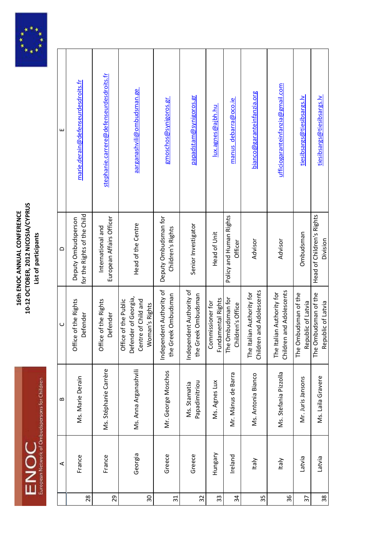



|                          | ⋖       | $\bf{m}$                      | $\cup$                                                                                | $\Omega$                                           | ш                                       |
|--------------------------|---------|-------------------------------|---------------------------------------------------------------------------------------|----------------------------------------------------|-----------------------------------------|
| 28                       | France  | Ms. Marie Derain              | Office of the Rights<br>Defender                                                      | for the Rights of the Child<br>Deputy Ombudsperson | marie.derain@defenseurdesdroits.fr      |
| 29                       | France  | Ms. Stéphanie Carrère         | Office of the Rights<br>Defender                                                      | European Affairs Officer<br>International and      | stephanie.carrere@defenseurdesdroits.fr |
| $\overline{\mathrm{30}}$ | Georgia | Ms. Anna Arganashvili         | Defender of Georgia,<br>Centre of Child and<br>Office of the Public<br>Woman's Rights | Head of the Centre                                 | aarganashvili@ombudsman.ge              |
| $\overline{31}$          | Greece  | Mr. George Moschos            | Independent Authority of<br>the Greek Ombudsman                                       | Deputy Ombudsman for<br>Children's Rights          | gmoschos@synigoros.gr                   |
| 32                       | Greece  | Papadimitriou<br>Ms. Stamatia | Independent Authority of<br>ek Ombudsman<br>the Gre                                   | Senior Investigator                                | papadstam@synigoros.gr                  |
| 33                       | Hungary | Ms. Agnes Lux                 | Fundamental Rights<br>Commissioner for                                                | Head of Unit                                       | lux.agnes@ajbh.hu                       |
| 34                       | Ireland | Mr. Mánus de Barra            | The Ombudsman for<br>Children's Office                                                | Policy and Human Rights<br>Officer                 | manus debarra@oco.ie                    |
| 35                       | Italy   | Ms. Antonia Bianco            | and Adolescents<br>The Italian Authority for<br>Children                              | Advisor                                            | bianco@garanteinfanzia.org              |
| 36                       | Italy   | Ms. Stefania Pizzolla         | and Adolescents<br>The Italian Authority for<br>Children                              | Advisor                                            | ufficiogaranteinfanzia@gmail.com        |
| $\overline{37}$          | Latvia  | Mr. Juris Jansons             | budsman of the<br>Republic of Latvia<br>The Om                                        | Ombudsman                                          | tiesibsargs@tiesibsargs.lv              |
| 38                       | Latvia  | Ms. Laila Gravere             | The Ombudsman of the<br>Republic of Latvia                                            | Head of Children's Rights<br>Division              | tiesibsargs@tiesibsargs.lv              |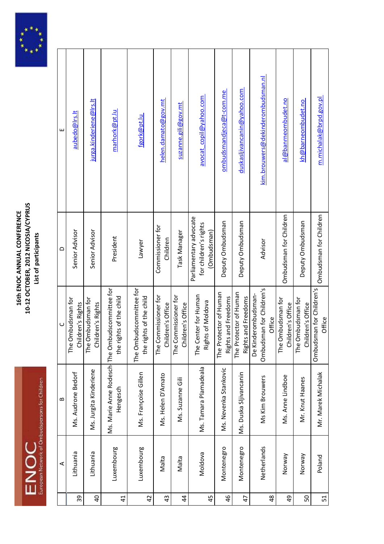



|                | ⋖           | $\bf{c}$               | $\cup$                                                                    | $\Omega$                                                       | Щ                                 |
|----------------|-------------|------------------------|---------------------------------------------------------------------------|----------------------------------------------------------------|-----------------------------------|
| 39             | Lithuania   | Ms. Audrone Bedorf     | The Ombudsman for<br>Children's Rights                                    | Senior Advisor                                                 | aubedo@lrs.lt                     |
| $\overline{a}$ | Lithuania   | Ms. Jurgita Kinderiene | The Ombudsman for<br>Children's Rights                                    | Senior Advisor                                                 | jurga.kinderiene@lrs.lt           |
| $\overline{4}$ | Luxembourg  | Hengesch               | Ms. Marie Anne Rodesch The Ombudscommittee for<br>the rights of the child | President                                                      | marhork@pt.lu                     |
| $\overline{4}$ | Luxembourg  | Ms. Françoise Gillen   | The Ombudscommittee for<br>the rights of the child                        | Lawyer                                                         | fgork@pt.lu                       |
| $\overline{4}$ | Malta       | Ms. Helen D'Amato      | The Commissioner for<br>Children's Office                                 | Commissioner for<br>Children                                   | helen.damato@gov.mt               |
| $\overline{4}$ | Malta       | Ms. Suzanne Gili       | The Commissioner for<br>Children's Office                                 | Task Manager                                                   | suzanne.gili@gov.mt               |
| 45             | Moldova     | Ms. Tamara Plamadeala  | The Center for Human<br>Rights of Moldova                                 | Parliamentary advocate<br>for children's rights<br>(Ombudsman) | avocat_copil@yahoo.com            |
| 46             | Montenegro  | Ms. Nevenka Stankovic  | The Protector of Human<br>Rights and Freedoms                             | Deputy Ombudsman                                               | ombudsmandjeca@t-com.me           |
| 47             | Montenegro  | Ms. Duska Sljivancanin | The Protector of Human<br>Rights and Freedoms                             | Deputy Ombudsman                                               | duskasljivancanin@yahoo.com       |
| $\frac{8}{4}$  | Netherlands | Ms Kim Brouwers        | Ombudsman for Children's<br>lerombudsman-<br>Office<br>De Kinc            | Advisor                                                        | kim.brouwers@dekinderombudsman.nl |
| $\overline{6}$ | Norway      | Ms. Anne Lindboe       | The Ombudsman for<br>Children's Office                                    | Ombudsman for Children                                         | al@banrneombudet.no               |
| 50             | Norway      | Mr. Knut Haanes        | The Ombudsman for<br>Children's Office                                    | Deputy Ombudsman                                               | kh@barneombudet.no                |
| 51             | Poland      | Mr. Marek Michalak     | Ombudsman for Children's<br>Office                                        | Ombudsman for Children                                         | m.michalak@brpd.gov.pl            |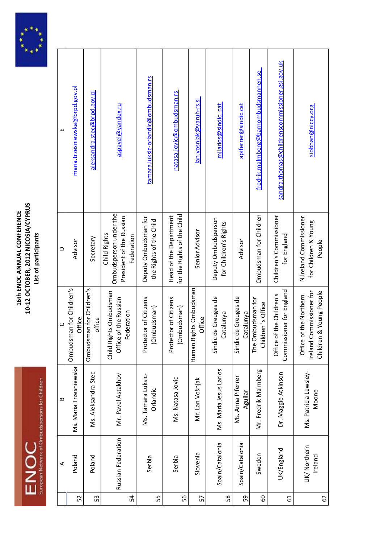



|    | ⋖                      | $\bf{c}$                       | $\cup$                                                                                     | $\Omega$                                                                         | ш                                              |
|----|------------------------|--------------------------------|--------------------------------------------------------------------------------------------|----------------------------------------------------------------------------------|------------------------------------------------|
| 52 | Poland                 | Ms. Maria Trzesniewska         | Ombudsman for Children's<br>Office                                                         | Advisor                                                                          | maria.trzesniewska@brpd.gov.pl                 |
| 53 | Poland                 | Ms. Aleksandra Stec            | Ombudsman for Children's<br>office                                                         | Secretary                                                                        | aleksandra.stec@brpd.gov.pl                    |
| 54 | Russian Federation     | Mr. Pavel Astakhov             | Child Rights Ombudsman<br>Office of the Russian<br>Federation                              | Ombudsperson under the<br>President of the Russian<br>Child Rights<br>Federation | aspavel@yandex.ru                              |
| 55 | Serbia                 | Ms. Tamara Luksic-<br>Orlandic | Protector of Citizens<br>mbudsman)<br>흐                                                    | Deputy Ombudsman for<br>the Rights of the Child                                  | tamara.luksic-orlandic@ombudsman.rs            |
| 56 | Serbia                 | Ms. Natasa Jovic               | Protector of Citizens<br>(Ombudsman)                                                       | for the Rights of the Child<br>Head of the Department                            | natasa.jovic@ombudsman.rs                      |
| 57 | Slovenia               | Mr. Lan Vošnjak                | Human Rights Ombudsman<br>Office                                                           | Senior Advisor                                                                   | lan.vosnjak@varuh-rs.si                        |
| 58 | Spain/Catalonia        | Ms. Maria Jesus Larios         | de Greuges de<br>Catalunya<br>Sindic                                                       | Deputy Ombudsperson<br>for Children's Rights                                     | mjlarios@sindic.cat                            |
| 59 | Spain/Catalonia        | Ms. Anna Piferrer<br>Aguilar   | de Greuges de<br>Catalunya<br>Sindic                                                       | Advisor                                                                          | apiferrer@sindic.cat                           |
| 8  | Sweden                 | Mr. Fredrik Malmberg           | The Ombudsman for<br>Children's Office                                                     | Ombudsman for Children                                                           | fredrik.malmberg@barnombudsmannen.se           |
| 61 | UK/England             | Dr. Maggie Atkinson            | Commissioner for England<br>Office of the Children's                                       | Children's Commissioner<br>for England                                           | sandra.thomas@childrenscommissioner.gsi.gov.uk |
| 62 | UK/Northern<br>Ireland | Ms. Patricia Lewsley-<br>Moone | Commissioner for<br>1 & Young People<br>of the Northern<br>Children<br>Ireland C<br>Office | N.Ireland Commissioner<br>for Children & Young<br>People                         | siobhan@niccy.org                              |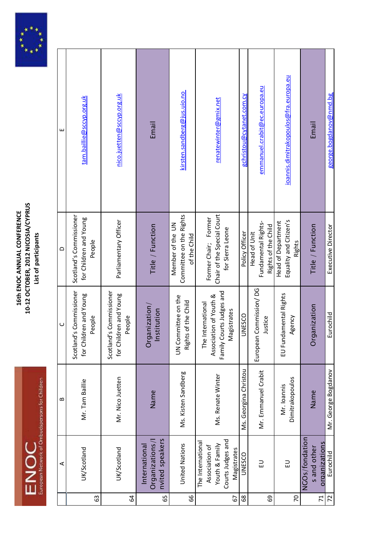



| ⋖                                                                                         | $\bf{m}$                       | $\cup$                                                                                 | $\Omega$                                                               | ш                                     |
|-------------------------------------------------------------------------------------------|--------------------------------|----------------------------------------------------------------------------------------|------------------------------------------------------------------------|---------------------------------------|
| UK/Scotland                                                                               | Mr. Tam Baillie                | Scotland's Commissioner<br>for Children and Young<br>People                            | Scotland's Commissioner<br>for Children and Young<br>People            | tam.baillie@sccyp.org.uk              |
| UK/Scotland                                                                               | Mr. Nico Juetten               | Scotland's Commissioner<br>dren and Young<br>People<br>for Chil                        | Parliamentary Officer                                                  | nico.juetten@sccyp.org.uk             |
| nvited speakers<br>Organizations/I<br>International                                       | Name                           | anization/<br>Institution<br>Org                                                       | Title / Function                                                       | Email                                 |
| United Nations                                                                            | Ms. Kisten Sandberg            | UN Committee on the<br>Rights of the Child                                             | Committee on the Rights<br>Member of the UN<br>of the Child            | kirsten.sandberg@jus.uio.no           |
| Courts Judges and<br>The International<br>Youth & Family<br>Association of<br>Magistrates | Ms. Renate Winter              | Family Courts Judges and<br>Association of Youth &<br>The International<br>Magistrates | Chair of the Special Court<br>Former Chair; Former<br>for Sierra Leone | renatewinter@gmix.net                 |
| UNESCO                                                                                    | Ms. Georgina Christou          | <b>UNESCO</b>                                                                          | Policy Officer                                                         | gchristou@cytanet.com.cy              |
| FD                                                                                        | Mr. Emmanuel Crabit            | European Commission/DG<br>Justice                                                      | Fundamental Rights-<br>Rights of the Child<br><b>Head of Unit</b>      | emmanuel.crabit@ec.europa.eu          |
| $\Xi$                                                                                     | Dimitrakopoulos<br>Mr. Ioannis | EU Fundamental Rights<br>Agency                                                        | Equality and Citizen's<br>Head of Department<br>Rights                 | ioannis.dimitrakopoulos@fra.europa.eu |
| NGOs/fondation<br>organizations<br>s and other                                            | Name                           | Organization                                                                           | Title / Function                                                       | Email                                 |
| Eurochild                                                                                 | Mr. George Bogdanov            | Eurochild                                                                              | Executive Director                                                     | <u>george.bogdanov@nmd.bg</u>         |
|                                                                                           |                                |                                                                                        |                                                                        |                                       |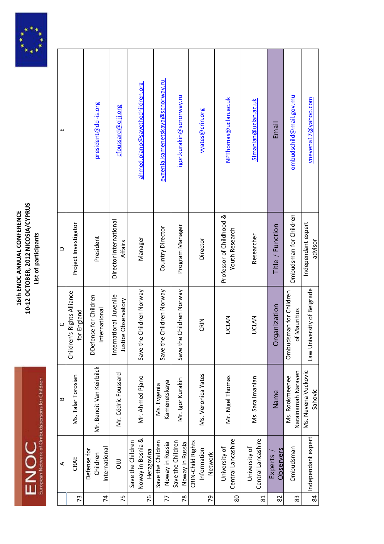



|                | ⋖                                                    | $\mathbf{a}$                         | $\cup$                                            | $\triangle$                                | ш                                |
|----------------|------------------------------------------------------|--------------------------------------|---------------------------------------------------|--------------------------------------------|----------------------------------|
| 73             | CRAE                                                 | Ms. Talar Torosian                   | Children's Rights Alliance<br>for England         | Project Investigator                       |                                  |
| $\overline{7}$ | International<br>Defense for<br>Children             | Mr. Benoit Van Keirbilck             | DDefense for Children<br>International            | President                                  | president@dci-is.org             |
| 75             | $\overline{a}$                                       | Mr. Cédric Foussard                  | International Juvenile<br>e Observatory<br>Justic | Director International<br>Affairs          | cfoussard@oiji.org               |
| 76             | Noway in Bosnia &<br>Save the Children<br>Herzgovina | Mr. Ahmed Pjano                      | Children Norway<br>Save the                       | Manager                                    | ahmed.pjano@savethechildren.org  |
| 77             | Save the Children<br>Noway in Russia                 | Kamenetskaya<br>Ms. Evgenia          | Children Norway<br>Save the                       | Country Director                           | evgenia.kamenetskaya@scnorway.ru |
| 78             | Save the Children<br>Noway in Russia                 | Mr. Igor Kurakin                     | Children Norway<br>Save the                       | Program Manager                            | igor.kurakin@scnorway.ru         |
| 79             | CRIN-Child Rights<br>Information<br>Network          | Ms. Veronica Yates                   | CRIN                                              | Director                                   | vyates@crin.org                  |
| 80             | Central Lancashire<br>University of                  | Mr. Nigel Thomas                     | <b>UCLAN</b>                                      | Professor of Childhood &<br>Youth Research | NPThomas@uclan.ac.uk             |
| $\overline{8}$ | Central Lancashire<br>University of                  | Ms. Sara Imanian                     | <b>UCLAN</b>                                      | Researcher                                 | Simanian@uclan.ac.uk             |
| 82             | Observers<br>Experts                                 | Name                                 | Organization                                      | Title / Function                           | Email                            |
| 83             | Ombudsman                                            | Narainamah Narayen<br>Ms. Rookmeenee | Ombudsman for Children<br><b>Mauritius</b><br>ō   | Ombudsman for Children                     | ombudschild@mail.gov.mu          |
| 84             | Independant expert                                   | Ms. Nevena Vuckovic<br>Sahovic       | Law University of Belgrade                        | Independant expert<br>advisor              | vnevena17@yahoo.com              |